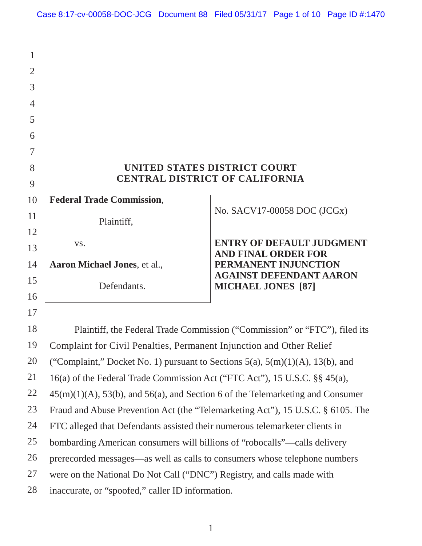| 1              |                                                                                     |                                                                            |  |  |
|----------------|-------------------------------------------------------------------------------------|----------------------------------------------------------------------------|--|--|
| $\overline{2}$ |                                                                                     |                                                                            |  |  |
| 3              |                                                                                     |                                                                            |  |  |
| $\overline{4}$ |                                                                                     |                                                                            |  |  |
| 5              |                                                                                     |                                                                            |  |  |
| 6              |                                                                                     |                                                                            |  |  |
| 7              |                                                                                     |                                                                            |  |  |
| 8              | UNITED STATES DISTRICT COURT                                                        |                                                                            |  |  |
| 9              | <b>CENTRAL DISTRICT OF CALIFORNIA</b>                                               |                                                                            |  |  |
| 10             | <b>Federal Trade Commission,</b>                                                    |                                                                            |  |  |
| 11             | Plaintiff,                                                                          | No. SACV17-00058 DOC (JCGx)                                                |  |  |
| 12             |                                                                                     |                                                                            |  |  |
| 13             | VS.                                                                                 | <b>ENTRY OF DEFAULT JUDGMENT</b><br><b>AND FINAL ORDER FOR</b>             |  |  |
| 14             | Aaron Michael Jones, et al.,                                                        | PERMANENT INJUNCTION                                                       |  |  |
| 15             | Defendants.                                                                         | <b>AGAINST DEFENDANT AARON</b><br><b>MICHAEL JONES</b> [87]                |  |  |
| 16             |                                                                                     |                                                                            |  |  |
| 17             |                                                                                     |                                                                            |  |  |
| 18             |                                                                                     | Plaintiff, the Federal Trade Commission ("Commission" or "FTC"), filed its |  |  |
| 19             | Complaint for Civil Penalties, Permanent Injunction and Other Relief                |                                                                            |  |  |
| 20             | ("Complaint," Docket No. 1) pursuant to Sections $5(a)$ , $5(m)(1)(A)$ , 13(b), and |                                                                            |  |  |
| 21             | 16(a) of the Federal Trade Commission Act ("FTC Act"), 15 U.S.C. §§ 45(a),          |                                                                            |  |  |
| 22             | $45(m)(1)(A)$ , 53(b), and 56(a), and Section 6 of the Telemarketing and Consumer   |                                                                            |  |  |
| 23             | Fraud and Abuse Prevention Act (the "Telemarketing Act"), 15 U.S.C. § 6105. The     |                                                                            |  |  |
| 24             | FTC alleged that Defendants assisted their numerous telemarketer clients in         |                                                                            |  |  |
| 25             | bombarding American consumers will billions of "robocalls"—calls delivery           |                                                                            |  |  |
| 26             | prerecorded messages—as well as calls to consumers whose telephone numbers          |                                                                            |  |  |
| 27             | were on the National Do Not Call ("DNC") Registry, and calls made with              |                                                                            |  |  |
| 28             | inaccurate, or "spoofed," caller ID information.                                    |                                                                            |  |  |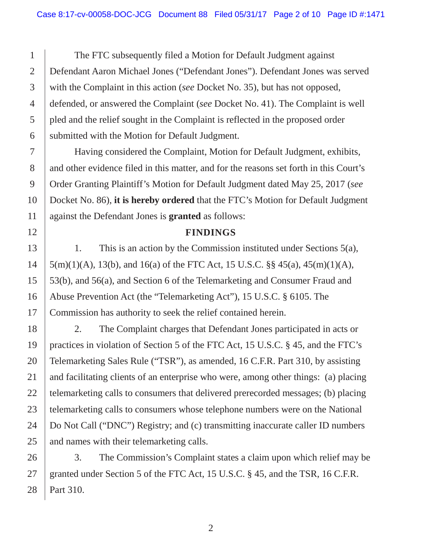defended, or answered the Complaint (*see* Docket No. 41). The Complaint is well The FTC subsequently filed a Motion for Default Judgment against Defendant Aaron Michael Jones ("Defendant Jones"). Defendant Jones was served with the Complaint in this action (*see* Docket No. 35), but has not opposed, pled and the relief sought in the Complaint is reflected in the proposed order submitted with the Motion for Default Judgment.

Having considered the Complaint, Motion for Default Judgment, exhibits, and other evidence filed in this matter, and for the reasons set forth in this Court's Order Granting Plaintiff's Motion for Default Judgment dated May 25, 2017 (*see*  Docket No. 86), **it is hereby ordered** that the FTC's Motion for Default Judgment against the Defendant Jones is **granted** as follows:

#### **FINDINGS**

1. This is an action by the Commission instituted under Sections 5(a), 5(m)(1)(A), 13(b), and 16(a) of the FTC Act, 15 U.S.C. §§ 45(a), 45(m)(1)(A), 53(b), and 56(a), and Section 6 of the Telemarketing and Consumer Fraud and Abuse Prevention Act (the "Telemarketing Act"), 15 U.S.C. § 6105. The Commission has authority to seek the relief contained herein.

 telemarketing calls to consumers whose telephone numbers were on the National 2. The Complaint charges that Defendant Jones participated in acts or practices in violation of Section 5 of the FTC Act, 15 U.S.C. § 45, and the FTC's Telemarketing Sales Rule ("TSR"), as amended, 16 C.F.R. Part 310, by assisting and facilitating clients of an enterprise who were, among other things: (a) placing telemarketing calls to consumers that delivered prerecorded messages; (b) placing Do Not Call ("DNC") Registry; and (c) transmitting inaccurate caller ID numbers and names with their telemarketing calls.

3. The Commission's Complaint states a claim upon which relief may be granted under Section 5 of the FTC Act, 15 U.S.C. § 45, and the TSR, 16 C.F.R. Part 310.

1

2

3

4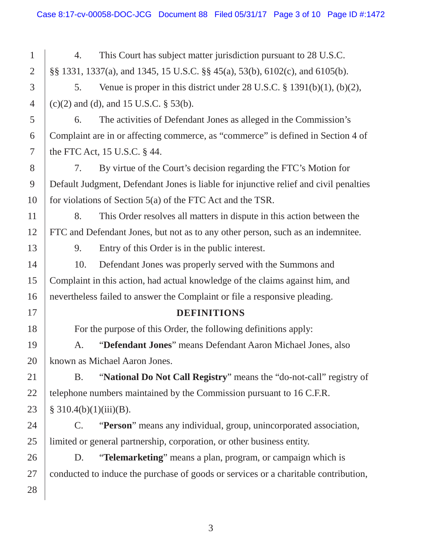1 2 3 4 5 6 7 8 9 10 11 12 13 14 15 16 17 18 19 20 21 22 23 24 25 26 27 28 9. Entry of this Order is in the public interest. Complaint in this action, had actual knowledge of the claims against him, and conducted to induce the purchase of goods or services or a charitable contribution, 4. This Court has subject matter jurisdiction pursuant to 28 U.S.C. §§ 1331, 1337(a), and 1345, 15 U.S.C. §§ 45(a), 53(b), 6102(c), and 6105(b). 5. Venue is proper in this district under 28 U.S.C. § 1391(b)(1), (b)(2), (c)(2) and (d), and 15 U.S.C. § 53(b). 6. The activities of Defendant Jones as alleged in the Commission's Complaint are in or affecting commerce, as "commerce" is defined in Section 4 of the FTC Act, 15 U.S.C. § 44. 7. By virtue of the Court's decision regarding the FTC's Motion for Default Judgment, Defendant Jones is liable for injunctive relief and civil penalties for violations of Section 5(a) of the FTC Act and the TSR. 8. This Order resolves all matters in dispute in this action between the FTC and Defendant Jones, but not as to any other person, such as an indemnitee. 10. Defendant Jones was properly served with the Summons and nevertheless failed to answer the Complaint or file a responsive pleading. **DEFINITIONS**  For the purpose of this Order, the following definitions apply: A. "**Defendant Jones**" means Defendant Aaron Michael Jones, also known as Michael Aaron Jones. B. "**National Do Not Call Registry**" means the "do-not-call" registry of telephone numbers maintained by the Commission pursuant to 16 C.F.R.  $§ 310.4(b)(1)(iii)(B).$ C. "**Person**" means any individual, group, unincorporated association, limited or general partnership, corporation, or other business entity. D. "**Telemarketing**" means a plan, program, or campaign which is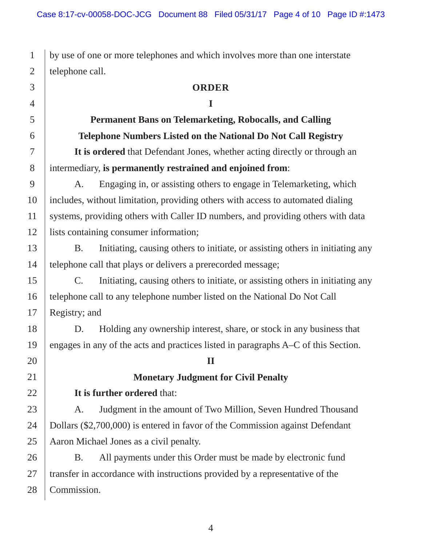by use of one or more telephones and which involves more than one interstate telephone call.

#### **ORDER**

# **I**

 **Permanent Bans on Telemarketing, Robocalls, and Calling Telephone Numbers Listed on the National Do Not Call Registry It is ordered** that Defendant Jones, whether acting directly or through an intermediary, **is permanently restrained and enjoined from**:

 A. Engaging in, or assisting others to engage in Telemarketing, which includes, without limitation, providing others with access to automated dialing systems, providing others with Caller ID numbers, and providing others with data lists containing consumer information;

 B. Initiating, causing others to initiate, or assisting others in initiating any telephone call that plays or delivers a prerecorded message;

 C. Initiating, causing others to initiate, or assisting others in initiating any telephone call to any telephone number listed on the National Do Not Call Registry; and

D. Holding any ownership interest, share, or stock in any business that engages in any of the acts and practices listed in paragraphs A–C of this Section.

# **Monetary Judgment for Civil Penalty**

**II**

# **It is further ordered** that:

A. Judgment in the amount of Two Million, Seven Hundred Thousand Dollars (\$2,700,000) is entered in favor of the Commission against Defendant Aaron Michael Jones as a civil penalty.

B. All payments under this Order must be made by electronic fund transfer in accordance with instructions provided by a representative of the Commission.

1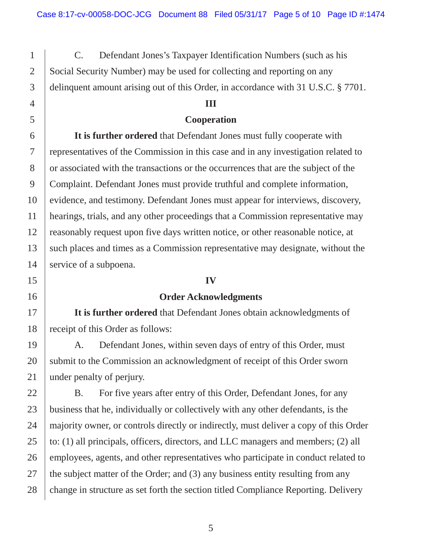C. Defendant Jones's Taxpayer Identification Numbers (such as his Social Security Number) may be used for collecting and reporting on any delinquent amount arising out of this Order, in accordance with 31 U.S.C. § 7701.

## **III**

## **Cooperation**

**It is further ordered** that Defendant Jones must fully cooperate with representatives of the Commission in this case and in any investigation related to or associated with the transactions or the occurrences that are the subject of the Complaint. Defendant Jones must provide truthful and complete information, evidence, and testimony. Defendant Jones must appear for interviews, discovery, hearings, trials, and any other proceedings that a Commission representative may reasonably request upon five days written notice, or other reasonable notice, at such places and times as a Commission representative may designate, without the service of a subpoena.

### **IV**

# **Order Acknowledgments**

**It is further ordered** that Defendant Jones obtain acknowledgments of receipt of this Order as follows:

A. Defendant Jones, within seven days of entry of this Order, must submit to the Commission an acknowledgment of receipt of this Order sworn under penalty of perjury.

B. For five years after entry of this Order, Defendant Jones, for any business that he, individually or collectively with any other defendants, is the majority owner, or controls directly or indirectly, must deliver a copy of this Order to: (1) all principals, officers, directors, and LLC managers and members; (2) all employees, agents, and other representatives who participate in conduct related to the subject matter of the Order; and (3) any business entity resulting from any change in structure as set forth the section titled Compliance Reporting. Delivery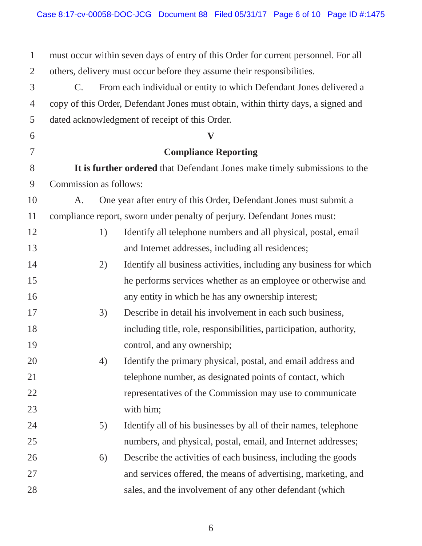must occur within seven days of entry of this Order for current personnel. For all others, delivery must occur before they assume their responsibilities.

 copy of this Order, Defendant Jones must obtain, within thirty days, a signed and C. From each individual or entity to which Defendant Jones delivered a dated acknowledgment of receipt of this Order.

#### **V**

## **Compliance Reporting**

 **It is further ordered** that Defendant Jones make timely submissions to the Commission as follows:

A. One year after entry of this Order, Defendant Jones must submit a compliance report, sworn under penalty of perjury. Defendant Jones must:

| Identify all telephone numbers and all physical, postal, email |
|----------------------------------------------------------------|
| and Internet addresses, including all residences;              |

- 2) Identify all business activities, including any business for which he performs services whether as an employee or otherwise and any entity in which he has any ownership interest;
- 3) Describe in detail his involvement in each such business, including title, role, responsibilities, participation, authority, control, and any ownership;
	- 4) Identify the primary physical, postal, and email address and telephone number, as designated points of contact, which representatives of the Commission may use to communicate with him;
	- 5) Identify all of his businesses by all of their names, telephone numbers, and physical, postal, email, and Internet addresses;
- 6) Describe the activities of each business, including the goods and services offered, the means of advertising, marketing, and sales, and the involvement of any other defendant (which

27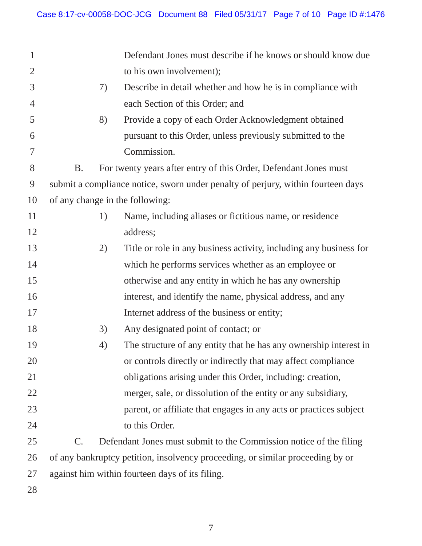| $\mathbf{1}$   |                                                                                  |    | Defendant Jones must describe if he knows or should know due       |
|----------------|----------------------------------------------------------------------------------|----|--------------------------------------------------------------------|
| $\overline{2}$ |                                                                                  |    | to his own involvement);                                           |
| 3              |                                                                                  | 7) | Describe in detail whether and how he is in compliance with        |
| $\overline{4}$ |                                                                                  |    | each Section of this Order; and                                    |
| 5              |                                                                                  | 8) | Provide a copy of each Order Acknowledgment obtained               |
| 6              |                                                                                  |    | pursuant to this Order, unless previously submitted to the         |
| $\overline{7}$ |                                                                                  |    | Commission.                                                        |
| 8              | <b>B.</b>                                                                        |    | For twenty years after entry of this Order, Defendant Jones must   |
| 9              | submit a compliance notice, sworn under penalty of perjury, within fourteen days |    |                                                                    |
| 10             | of any change in the following:                                                  |    |                                                                    |
| 11             |                                                                                  | 1) | Name, including aliases or fictitious name, or residence           |
| 12             |                                                                                  |    | address;                                                           |
| 13             |                                                                                  | 2) | Title or role in any business activity, including any business for |
| 14             |                                                                                  |    | which he performs services whether as an employee or               |
| 15             |                                                                                  |    | otherwise and any entity in which he has any ownership             |
| 16             |                                                                                  |    | interest, and identify the name, physical address, and any         |
| 17             |                                                                                  |    | Internet address of the business or entity;                        |
| 18             |                                                                                  | 3) | Any designated point of contact; or                                |
| 19             |                                                                                  | 4) | The structure of any entity that he has any ownership interest in  |
| 20             |                                                                                  |    | or controls directly or indirectly that may affect compliance      |
| 21             |                                                                                  |    | obligations arising under this Order, including: creation,         |
| 22             |                                                                                  |    | merger, sale, or dissolution of the entity or any subsidiary,      |
| 23             |                                                                                  |    | parent, or affiliate that engages in any acts or practices subject |
| 24             |                                                                                  |    | to this Order.                                                     |
| 25             | $\mathsf{C}.$                                                                    |    | Defendant Jones must submit to the Commission notice of the filing |
| 26             | of any bankruptcy petition, insolvency proceeding, or similar proceeding by or   |    |                                                                    |
| 27             | against him within fourteen days of its filing.                                  |    |                                                                    |
| 28             |                                                                                  |    |                                                                    |
|                |                                                                                  |    |                                                                    |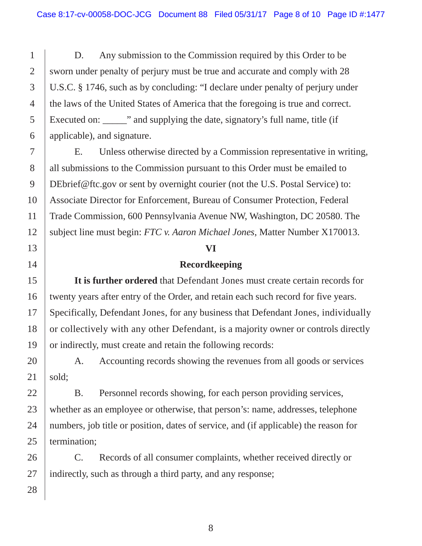D. Any submission to the Commission required by this Order to be sworn under penalty of perjury must be true and accurate and comply with 28 U.S.C. § 1746, such as by concluding: "I declare under penalty of perjury under the laws of the United States of America that the foregoing is true and correct. Executed on: The mass of supplying the date, signatory's full name, title (if applicable), and signature.

E. Unless otherwise directed by a Commission representative in writing, all submissions to the Commission pursuant to this Order must be emailed to DEbrief@ftc.gov or sent by overnight courier (not the U.S. Postal Service) to: Associate Director for Enforcement, Bureau of Consumer Protection, Federal Trade Commission, 600 Pennsylvania Avenue NW, Washington, DC 20580. The subject line must begin: *FTC v. Aaron Michael Jones*, Matter Number X170013.

#### **VI**

### **Recordkeeping**

 **It is further ordered** that Defendant Jones must create certain records for Specifically, Defendant Jones, for any business that Defendant Jones, individually or collectively with any other Defendant, is a majority owner or controls directly twenty years after entry of the Order, and retain each such record for five years. or indirectly, must create and retain the following records:

A. Accounting records showing the revenues from all goods or services sold;

 whether as an employee or otherwise, that person's: name, addresses, telephone B. Personnel records showing, for each person providing services, numbers, job title or position, dates of service, and (if applicable) the reason for termination;

C. Records of all consumer complaints, whether received directly or indirectly, such as through a third party, and any response;

1

2

3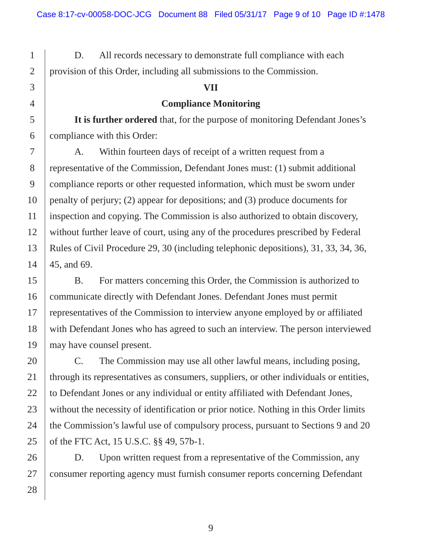provision of this Order, including all submissions to the Commission. D. All records necessary to demonstrate full compliance with each

#### **VII**

**Compliance Monitoring** 

**It is further ordered** that, for the purpose of monitoring Defendant Jones's compliance with this Order:

 A. Within fourteen days of receipt of a written request from a representative of the Commission, Defendant Jones must: (1) submit additional compliance reports or other requested information, which must be sworn under penalty of perjury; (2) appear for depositions; and (3) produce documents for inspection and copying. The Commission is also authorized to obtain discovery, without further leave of court, using any of the procedures prescribed by Federal Rules of Civil Procedure 29, 30 (including telephonic depositions), 31, 33, 34, 36, 45, and 69.

 with Defendant Jones who has agreed to such an interview. The person interviewed B. For matters concerning this Order, the Commission is authorized to communicate directly with Defendant Jones. Defendant Jones must permit representatives of the Commission to interview anyone employed by or affiliated may have counsel present.

 of the FTC Act, 15 U.S.C. §§ 49, 57b-1. C. The Commission may use all other lawful means, including posing, through its representatives as consumers, suppliers, or other individuals or entities, to Defendant Jones or any individual or entity affiliated with Defendant Jones, without the necessity of identification or prior notice. Nothing in this Order limits the Commission's lawful use of compulsory process, pursuant to Sections 9 and 20

D. Upon written request from a representative of the Commission, any consumer reporting agency must furnish consumer reports concerning Defendant

28